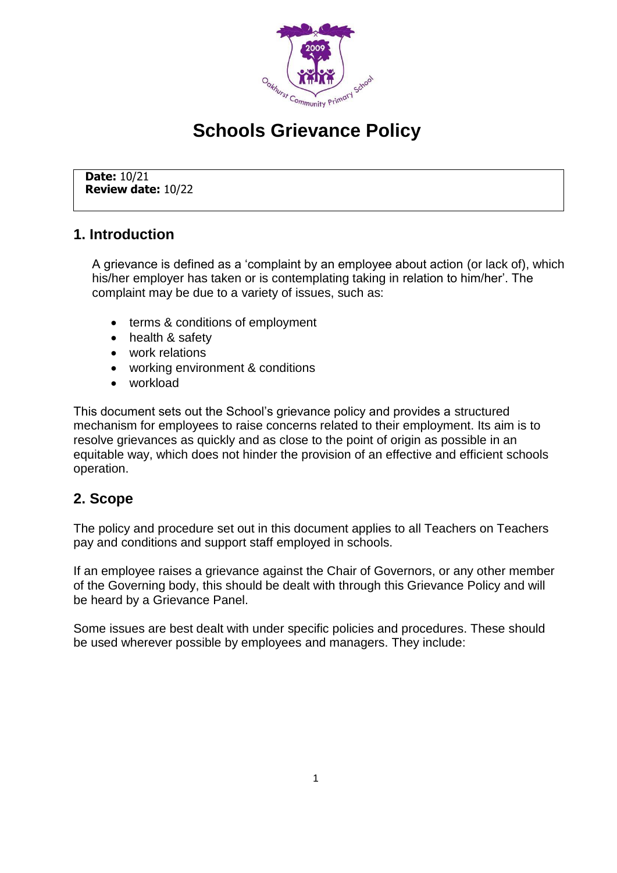

# **Schools Grievance Policy**

**Date:** 10/21 **Review date:** 10/22

# **1. Introduction**

A grievance is defined as a 'complaint by an employee about action (or lack of), which his/her employer has taken or is contemplating taking in relation to him/her'. The complaint may be due to a variety of issues, such as:

- terms & conditions of employment
- health & safety
- work relations
- working environment & conditions
- workload

This document sets out the School's grievance policy and provides a structured mechanism for employees to raise concerns related to their employment. Its aim is to resolve grievances as quickly and as close to the point of origin as possible in an equitable way, which does not hinder the provision of an effective and efficient schools operation.

# **2. Scope**

The policy and procedure set out in this document applies to all Teachers on Teachers pay and conditions and support staff employed in schools.

If an employee raises a grievance against the Chair of Governors, or any other member of the Governing body, this should be dealt with through this Grievance Policy and will be heard by a Grievance Panel.

Some issues are best dealt with under specific policies and procedures. These should be used wherever possible by employees and managers. They include: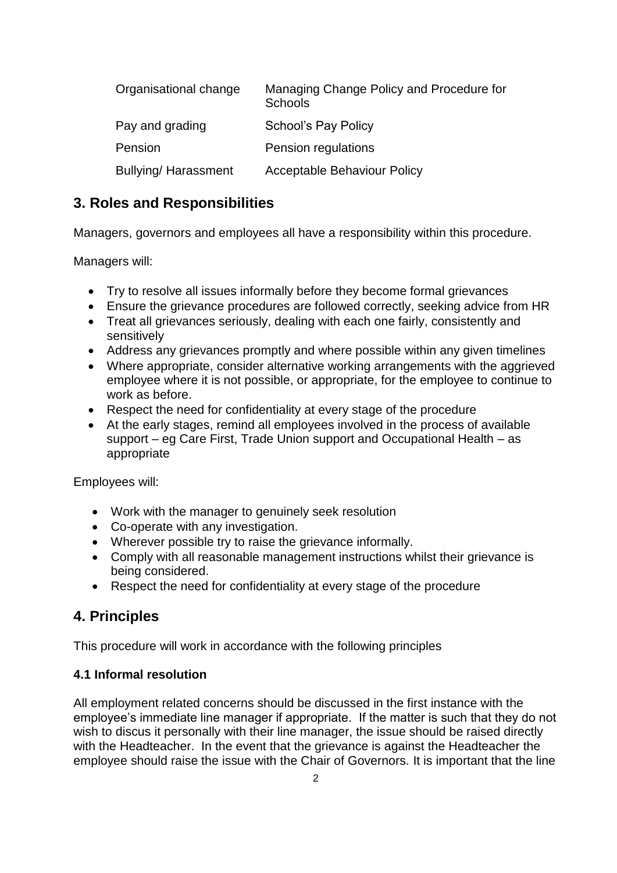| Organisational change      | Managing Change Policy and Procedure for<br><b>Schools</b> |
|----------------------------|------------------------------------------------------------|
| Pay and grading            | <b>School's Pay Policy</b>                                 |
| Pension                    | Pension regulations                                        |
| <b>Bullying/Harassment</b> | <b>Acceptable Behaviour Policy</b>                         |

# **3. Roles and Responsibilities**

Managers, governors and employees all have a responsibility within this procedure.

Managers will:

- Try to resolve all issues informally before they become formal grievances
- Ensure the grievance procedures are followed correctly, seeking advice from HR
- Treat all grievances seriously, dealing with each one fairly, consistently and sensitively
- Address any grievances promptly and where possible within any given timelines
- Where appropriate, consider alternative working arrangements with the aggrieved employee where it is not possible, or appropriate, for the employee to continue to work as before.
- Respect the need for confidentiality at every stage of the procedure
- At the early stages, remind all employees involved in the process of available support – eg Care First, Trade Union support and Occupational Health – as appropriate

Employees will:

- Work with the manager to genuinely seek resolution
- Co-operate with any investigation.
- Wherever possible try to raise the grievance informally.
- Comply with all reasonable management instructions whilst their grievance is being considered.
- Respect the need for confidentiality at every stage of the procedure

# **4. Principles**

This procedure will work in accordance with the following principles

### **4.1 Informal resolution**

All employment related concerns should be discussed in the first instance with the employee's immediate line manager if appropriate. If the matter is such that they do not wish to discus it personally with their line manager, the issue should be raised directly with the Headteacher. In the event that the grievance is against the Headteacher the employee should raise the issue with the Chair of Governors. It is important that the line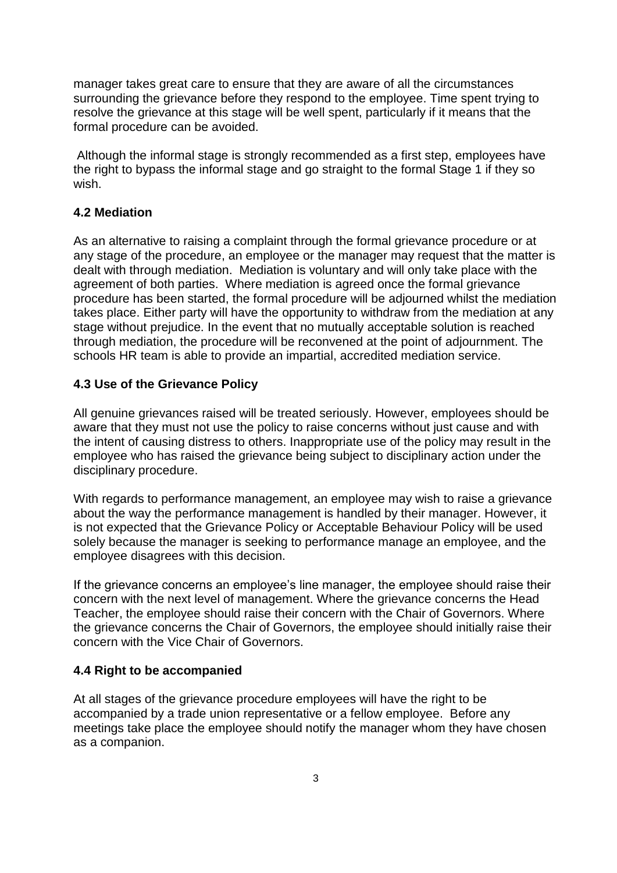manager takes great care to ensure that they are aware of all the circumstances surrounding the grievance before they respond to the employee. Time spent trying to resolve the grievance at this stage will be well spent, particularly if it means that the formal procedure can be avoided.

Although the informal stage is strongly recommended as a first step, employees have the right to bypass the informal stage and go straight to the formal Stage 1 if they so wish.

# **4.2 Mediation**

As an alternative to raising a complaint through the formal grievance procedure or at any stage of the procedure, an employee or the manager may request that the matter is dealt with through mediation. Mediation is voluntary and will only take place with the agreement of both parties. Where mediation is agreed once the formal grievance procedure has been started, the formal procedure will be adjourned whilst the mediation takes place. Either party will have the opportunity to withdraw from the mediation at any stage without prejudice. In the event that no mutually acceptable solution is reached through mediation, the procedure will be reconvened at the point of adjournment. The schools HR team is able to provide an impartial, accredited mediation service.

# **4.3 Use of the Grievance Policy**

All genuine grievances raised will be treated seriously. However, employees should be aware that they must not use the policy to raise concerns without just cause and with the intent of causing distress to others. Inappropriate use of the policy may result in the employee who has raised the grievance being subject to disciplinary action under the disciplinary procedure.

With regards to performance management, an employee may wish to raise a grievance about the way the performance management is handled by their manager. However, it is not expected that the Grievance Policy or Acceptable Behaviour Policy will be used solely because the manager is seeking to performance manage an employee, and the employee disagrees with this decision.

If the grievance concerns an employee's line manager, the employee should raise their concern with the next level of management. Where the grievance concerns the Head Teacher, the employee should raise their concern with the Chair of Governors. Where the grievance concerns the Chair of Governors, the employee should initially raise their concern with the Vice Chair of Governors.

### **4.4 Right to be accompanied**

At all stages of the grievance procedure employees will have the right to be accompanied by a trade union representative or a fellow employee. Before any meetings take place the employee should notify the manager whom they have chosen as a companion.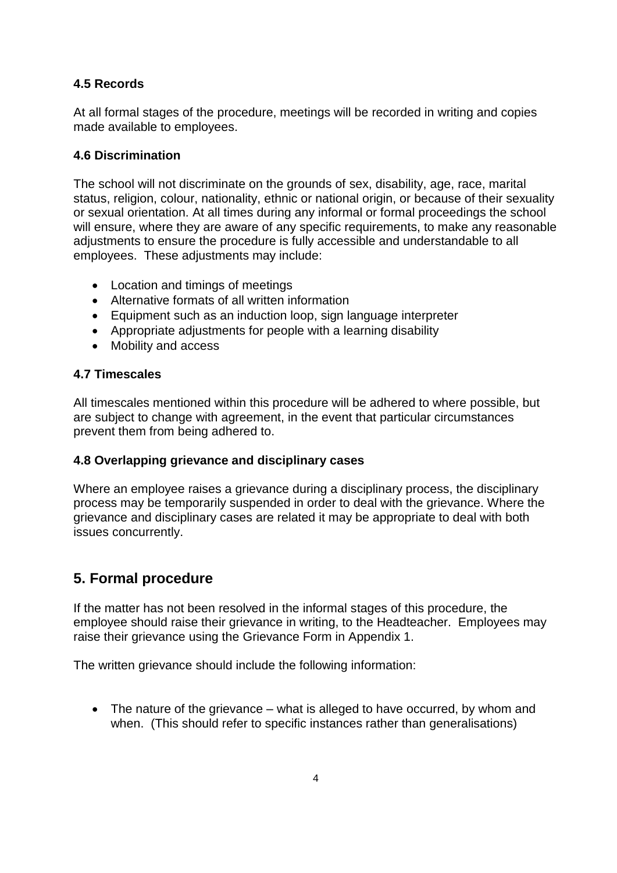# **4.5 Records**

At all formal stages of the procedure, meetings will be recorded in writing and copies made available to employees.

### **4.6 Discrimination**

The school will not discriminate on the grounds of sex, disability, age, race, marital status, religion, colour, nationality, ethnic or national origin, or because of their sexuality or sexual orientation. At all times during any informal or formal proceedings the school will ensure, where they are aware of any specific requirements, to make any reasonable adjustments to ensure the procedure is fully accessible and understandable to all employees. These adjustments may include:

- Location and timings of meetings
- Alternative formats of all written information
- Equipment such as an induction loop, sign language interpreter
- Appropriate adjustments for people with a learning disability
- Mobility and access

# **4.7 Timescales**

All timescales mentioned within this procedure will be adhered to where possible, but are subject to change with agreement, in the event that particular circumstances prevent them from being adhered to.

### **4.8 Overlapping grievance and disciplinary cases**

Where an employee raises a grievance during a disciplinary process, the disciplinary process may be temporarily suspended in order to deal with the grievance. Where the grievance and disciplinary cases are related it may be appropriate to deal with both issues concurrently.

# **5. Formal procedure**

If the matter has not been resolved in the informal stages of this procedure, the employee should raise their grievance in writing, to the Headteacher. Employees may raise their grievance using the Grievance Form in Appendix 1.

The written grievance should include the following information:

• The nature of the grievance – what is alleged to have occurred, by whom and when. (This should refer to specific instances rather than generalisations)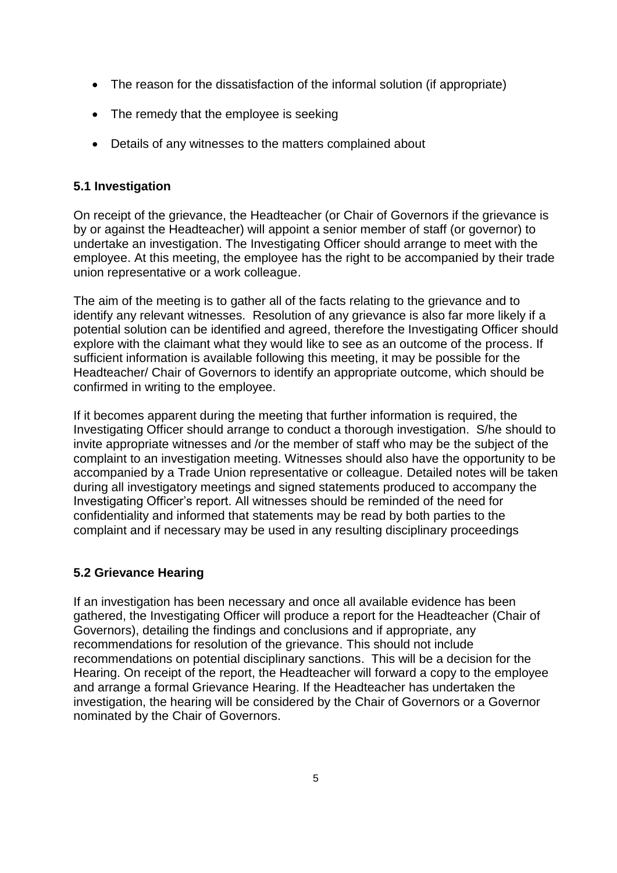- The reason for the dissatisfaction of the informal solution (if appropriate)
- The remedy that the employee is seeking
- Details of any witnesses to the matters complained about

# **5.1 Investigation**

On receipt of the grievance, the Headteacher (or Chair of Governors if the grievance is by or against the Headteacher) will appoint a senior member of staff (or governor) to undertake an investigation. The Investigating Officer should arrange to meet with the employee. At this meeting, the employee has the right to be accompanied by their trade union representative or a work colleague.

The aim of the meeting is to gather all of the facts relating to the grievance and to identify any relevant witnesses. Resolution of any grievance is also far more likely if a potential solution can be identified and agreed, therefore the Investigating Officer should explore with the claimant what they would like to see as an outcome of the process. If sufficient information is available following this meeting, it may be possible for the Headteacher/ Chair of Governors to identify an appropriate outcome, which should be confirmed in writing to the employee.

If it becomes apparent during the meeting that further information is required, the Investigating Officer should arrange to conduct a thorough investigation. S/he should to invite appropriate witnesses and /or the member of staff who may be the subject of the complaint to an investigation meeting. Witnesses should also have the opportunity to be accompanied by a Trade Union representative or colleague. Detailed notes will be taken during all investigatory meetings and signed statements produced to accompany the Investigating Officer's report. All witnesses should be reminded of the need for confidentiality and informed that statements may be read by both parties to the complaint and if necessary may be used in any resulting disciplinary proceedings

### **5.2 Grievance Hearing**

If an investigation has been necessary and once all available evidence has been gathered, the Investigating Officer will produce a report for the Headteacher (Chair of Governors), detailing the findings and conclusions and if appropriate, any recommendations for resolution of the grievance. This should not include recommendations on potential disciplinary sanctions. This will be a decision for the Hearing. On receipt of the report, the Headteacher will forward a copy to the employee and arrange a formal Grievance Hearing. If the Headteacher has undertaken the investigation, the hearing will be considered by the Chair of Governors or a Governor nominated by the Chair of Governors.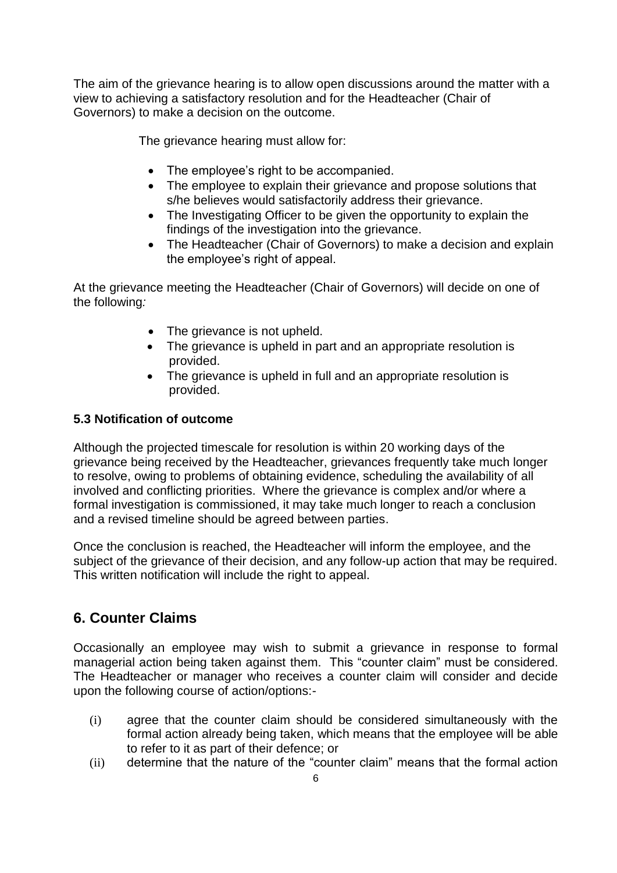The aim of the grievance hearing is to allow open discussions around the matter with a view to achieving a satisfactory resolution and for the Headteacher (Chair of Governors) to make a decision on the outcome.

The grievance hearing must allow for:

- The employee's right to be accompanied.
- The employee to explain their grievance and propose solutions that s/he believes would satisfactorily address their grievance.
- The Investigating Officer to be given the opportunity to explain the findings of the investigation into the grievance.
- The Headteacher (Chair of Governors) to make a decision and explain the employee's right of appeal.

At the grievance meeting the Headteacher (Chair of Governors) will decide on one of the following*:*

- The grievance is not upheld.
- The grievance is upheld in part and an appropriate resolution is provided.
- The grievance is upheld in full and an appropriate resolution is provided.

### **5.3 Notification of outcome**

Although the projected timescale for resolution is within 20 working days of the grievance being received by the Headteacher, grievances frequently take much longer to resolve, owing to problems of obtaining evidence, scheduling the availability of all involved and conflicting priorities. Where the grievance is complex and/or where a formal investigation is commissioned, it may take much longer to reach a conclusion and a revised timeline should be agreed between parties.

Once the conclusion is reached, the Headteacher will inform the employee, and the subject of the grievance of their decision, and any follow-up action that may be required. This written notification will include the right to appeal.

# **6. Counter Claims**

Occasionally an employee may wish to submit a grievance in response to formal managerial action being taken against them. This "counter claim" must be considered. The Headteacher or manager who receives a counter claim will consider and decide upon the following course of action/options:-

- (i) agree that the counter claim should be considered simultaneously with the formal action already being taken, which means that the employee will be able to refer to it as part of their defence; or
- (ii) determine that the nature of the "counter claim" means that the formal action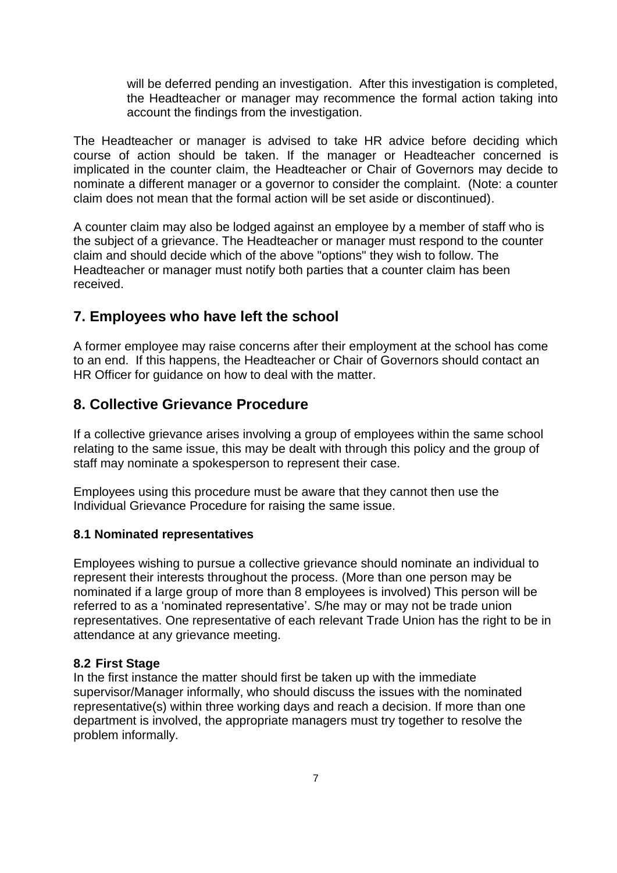will be deferred pending an investigation. After this investigation is completed, the Headteacher or manager may recommence the formal action taking into account the findings from the investigation.

The Headteacher or manager is advised to take HR advice before deciding which course of action should be taken. If the manager or Headteacher concerned is implicated in the counter claim, the Headteacher or Chair of Governors may decide to nominate a different manager or a governor to consider the complaint. (Note: a counter claim does not mean that the formal action will be set aside or discontinued).

A counter claim may also be lodged against an employee by a member of staff who is the subject of a grievance. The Headteacher or manager must respond to the counter claim and should decide which of the above "options" they wish to follow. The Headteacher or manager must notify both parties that a counter claim has been received.

# **7. Employees who have left the school**

A former employee may raise concerns after their employment at the school has come to an end. If this happens, the Headteacher or Chair of Governors should contact an HR Officer for guidance on how to deal with the matter.

# **8. Collective Grievance Procedure**

If a collective grievance arises involving a group of employees within the same school relating to the same issue, this may be dealt with through this policy and the group of staff may nominate a spokesperson to represent their case.

Employees using this procedure must be aware that they cannot then use the Individual Grievance Procedure for raising the same issue.

### **8.1 Nominated representatives**

Employees wishing to pursue a collective grievance should nominate an individual to represent their interests throughout the process. (More than one person may be nominated if a large group of more than 8 employees is involved) This person will be referred to as a 'nominated representative'. S/he may or may not be trade union representatives. One representative of each relevant Trade Union has the right to be in attendance at any grievance meeting.

### **8.2 First Stage**

In the first instance the matter should first be taken up with the immediate supervisor/Manager informally, who should discuss the issues with the nominated representative(s) within three working days and reach a decision. If more than one department is involved, the appropriate managers must try together to resolve the problem informally.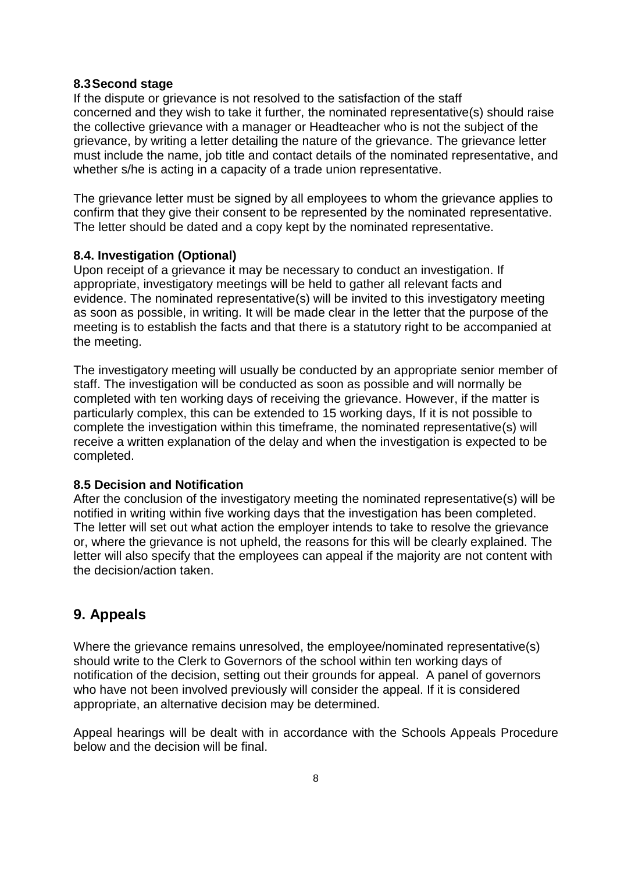#### **8.3Second stage**

If the dispute or grievance is not resolved to the satisfaction of the staff concerned and they wish to take it further, the nominated representative(s) should raise the collective grievance with a manager or Headteacher who is not the subject of the grievance, by writing a letter detailing the nature of the grievance. The grievance letter must include the name, job title and contact details of the nominated representative, and whether s/he is acting in a capacity of a trade union representative.

The grievance letter must be signed by all employees to whom the grievance applies to confirm that they give their consent to be represented by the nominated representative. The letter should be dated and a copy kept by the nominated representative.

#### **8.4. Investigation (Optional)**

Upon receipt of a grievance it may be necessary to conduct an investigation. If appropriate, investigatory meetings will be held to gather all relevant facts and evidence. The nominated representative(s) will be invited to this investigatory meeting as soon as possible, in writing. It will be made clear in the letter that the purpose of the meeting is to establish the facts and that there is a statutory right to be accompanied at the meeting.

The investigatory meeting will usually be conducted by an appropriate senior member of staff. The investigation will be conducted as soon as possible and will normally be completed with ten working days of receiving the grievance. However, if the matter is particularly complex, this can be extended to 15 working days, If it is not possible to complete the investigation within this timeframe, the nominated representative(s) will receive a written explanation of the delay and when the investigation is expected to be completed.

#### **8.5 Decision and Notification**

After the conclusion of the investigatory meeting the nominated representative(s) will be notified in writing within five working days that the investigation has been completed. The letter will set out what action the employer intends to take to resolve the grievance or, where the grievance is not upheld, the reasons for this will be clearly explained. The letter will also specify that the employees can appeal if the majority are not content with the decision/action taken.

# **9. Appeals**

Where the grievance remains unresolved, the employee/nominated representative(s) should write to the Clerk to Governors of the school within ten working days of notification of the decision, setting out their grounds for appeal. A panel of governors who have not been involved previously will consider the appeal. If it is considered appropriate, an alternative decision may be determined.

Appeal hearings will be dealt with in accordance with the Schools Appeals Procedure below and the decision will be final.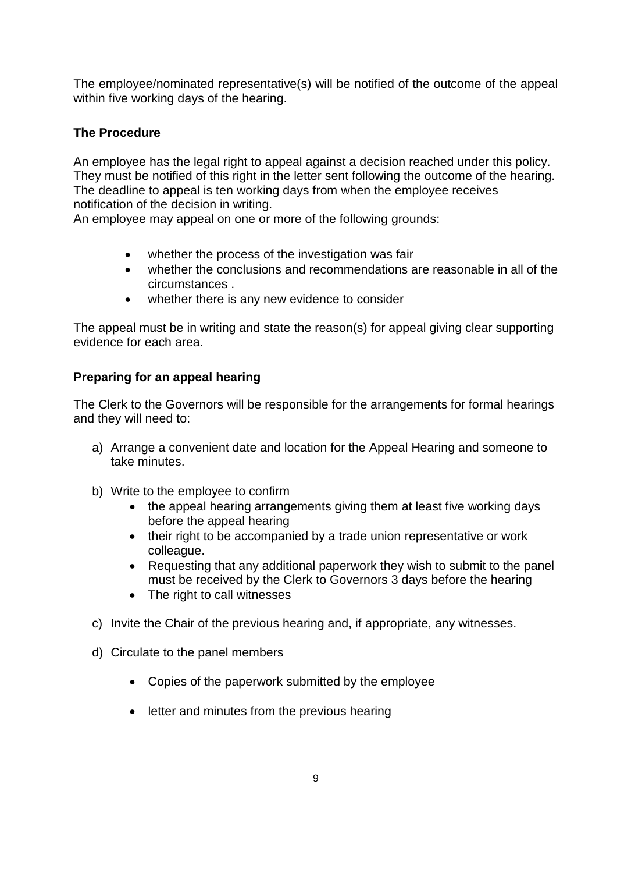The employee/nominated representative(s) will be notified of the outcome of the appeal within five working days of the hearing.

# **The Procedure**

An employee has the legal right to appeal against a decision reached under this policy. They must be notified of this right in the letter sent following the outcome of the hearing. The deadline to appeal is ten working days from when the employee receives notification of the decision in writing.

An employee may appeal on one or more of the following grounds:

- whether the process of the investigation was fair
- whether the conclusions and recommendations are reasonable in all of the circumstances .
- whether there is any new evidence to consider

The appeal must be in writing and state the reason(s) for appeal giving clear supporting evidence for each area.

# **Preparing for an appeal hearing**

The Clerk to the Governors will be responsible for the arrangements for formal hearings and they will need to:

- a) Arrange a convenient date and location for the Appeal Hearing and someone to take minutes.
- b) Write to the employee to confirm
	- the appeal hearing arrangements giving them at least five working days before the appeal hearing
	- their right to be accompanied by a trade union representative or work colleague.
	- Requesting that any additional paperwork they wish to submit to the panel must be received by the Clerk to Governors 3 days before the hearing
	- The right to call witnesses
- c) Invite the Chair of the previous hearing and, if appropriate, any witnesses.
- d) Circulate to the panel members
	- Copies of the paperwork submitted by the employee
	- letter and minutes from the previous hearing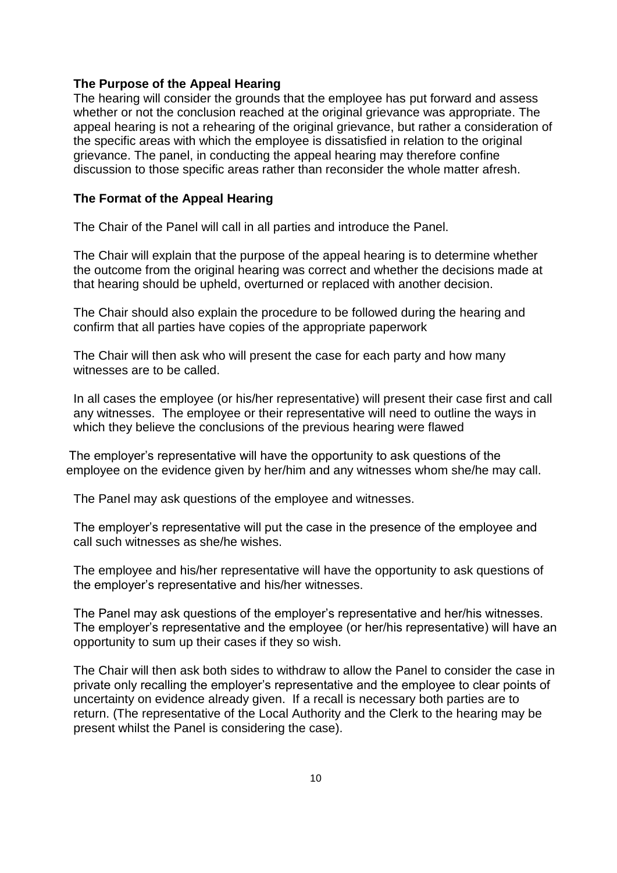#### **The Purpose of the Appeal Hearing**

The hearing will consider the grounds that the employee has put forward and assess whether or not the conclusion reached at the original grievance was appropriate. The appeal hearing is not a rehearing of the original grievance, but rather a consideration of the specific areas with which the employee is dissatisfied in relation to the original grievance. The panel, in conducting the appeal hearing may therefore confine discussion to those specific areas rather than reconsider the whole matter afresh.

#### **The Format of the Appeal Hearing**

The Chair of the Panel will call in all parties and introduce the Panel.

The Chair will explain that the purpose of the appeal hearing is to determine whether the outcome from the original hearing was correct and whether the decisions made at that hearing should be upheld, overturned or replaced with another decision.

The Chair should also explain the procedure to be followed during the hearing and confirm that all parties have copies of the appropriate paperwork

The Chair will then ask who will present the case for each party and how many witnesses are to be called.

In all cases the employee (or his/her representative) will present their case first and call any witnesses. The employee or their representative will need to outline the ways in which they believe the conclusions of the previous hearing were flawed

The employer's representative will have the opportunity to ask questions of the employee on the evidence given by her/him and any witnesses whom she/he may call.

The Panel may ask questions of the employee and witnesses.

The employer's representative will put the case in the presence of the employee and call such witnesses as she/he wishes.

The employee and his/her representative will have the opportunity to ask questions of the employer's representative and his/her witnesses.

The Panel may ask questions of the employer's representative and her/his witnesses. The employer's representative and the employee (or her/his representative) will have an opportunity to sum up their cases if they so wish.

The Chair will then ask both sides to withdraw to allow the Panel to consider the case in private only recalling the employer's representative and the employee to clear points of uncertainty on evidence already given. If a recall is necessary both parties are to return. (The representative of the Local Authority and the Clerk to the hearing may be present whilst the Panel is considering the case).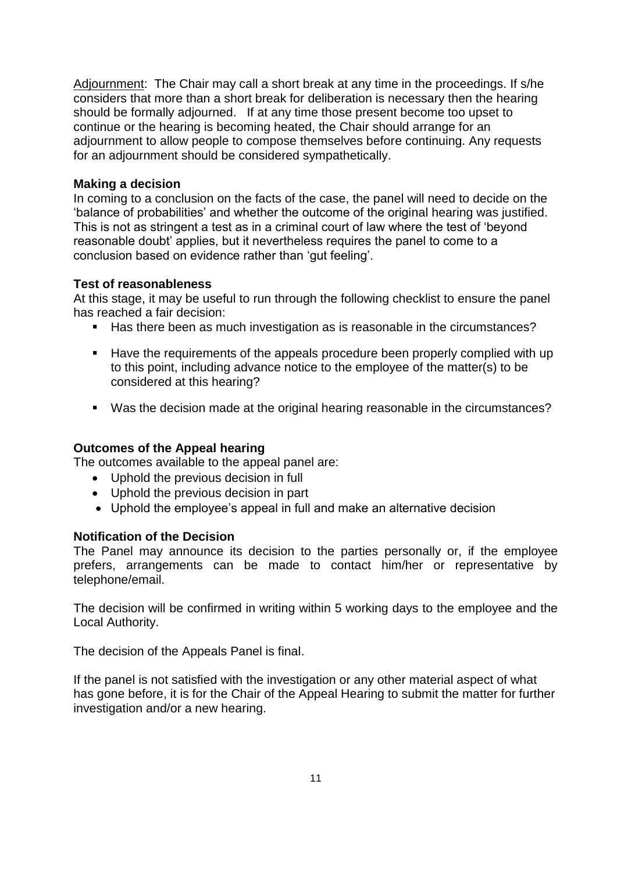Adjournment: The Chair may call a short break at any time in the proceedings. If s/he considers that more than a short break for deliberation is necessary then the hearing should be formally adjourned. If at any time those present become too upset to continue or the hearing is becoming heated, the Chair should arrange for an adjournment to allow people to compose themselves before continuing. Any requests for an adjournment should be considered sympathetically.

#### **Making a decision**

In coming to a conclusion on the facts of the case, the panel will need to decide on the 'balance of probabilities' and whether the outcome of the original hearing was justified. This is not as stringent a test as in a criminal court of law where the test of 'beyond reasonable doubt' applies, but it nevertheless requires the panel to come to a conclusion based on evidence rather than 'gut feeling'.

#### **Test of reasonableness**

At this stage, it may be useful to run through the following checklist to ensure the panel has reached a fair decision:

- Has there been as much investigation as is reasonable in the circumstances?
- Have the requirements of the appeals procedure been properly complied with up to this point, including advance notice to the employee of the matter(s) to be considered at this hearing?
- Was the decision made at the original hearing reasonable in the circumstances?

#### **Outcomes of the Appeal hearing**

The outcomes available to the appeal panel are:

- Uphold the previous decision in full
- Uphold the previous decision in part
- Uphold the employee's appeal in full and make an alternative decision

#### **Notification of the Decision**

The Panel may announce its decision to the parties personally or, if the employee prefers, arrangements can be made to contact him/her or representative by telephone/email.

The decision will be confirmed in writing within 5 working days to the employee and the Local Authority.

The decision of the Appeals Panel is final.

If the panel is not satisfied with the investigation or any other material aspect of what has gone before, it is for the Chair of the Appeal Hearing to submit the matter for further investigation and/or a new hearing.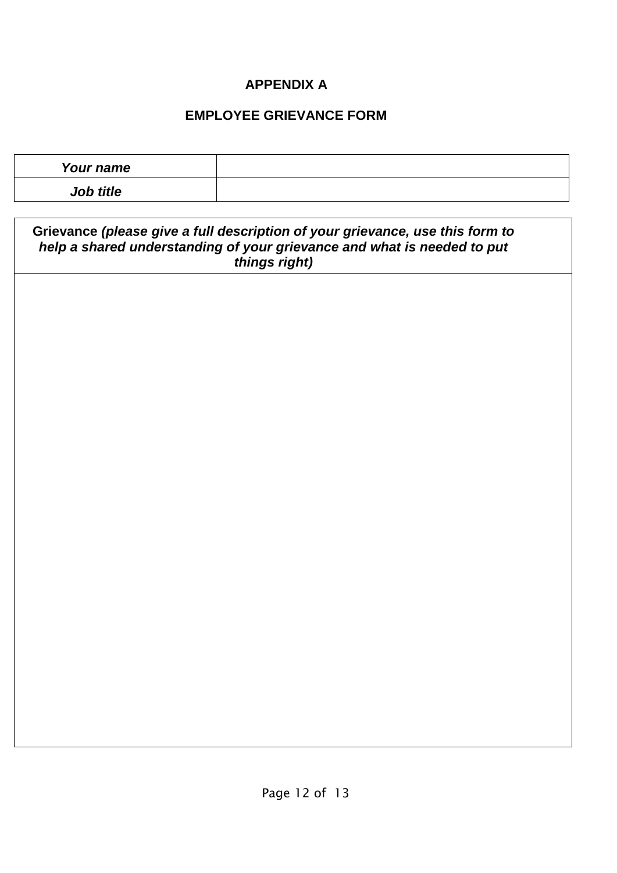# **APPENDIX A**

# **EMPLOYEE GRIEVANCE FORM**

| Your name                                                                                                                                                                 |  |  |
|---------------------------------------------------------------------------------------------------------------------------------------------------------------------------|--|--|
| Job title                                                                                                                                                                 |  |  |
| Grievance (please give a full description of your grievance, use this form to<br>help a shared understanding of your grievance and what is needed to put<br>things right) |  |  |
|                                                                                                                                                                           |  |  |
|                                                                                                                                                                           |  |  |
|                                                                                                                                                                           |  |  |
|                                                                                                                                                                           |  |  |
|                                                                                                                                                                           |  |  |
|                                                                                                                                                                           |  |  |
|                                                                                                                                                                           |  |  |
|                                                                                                                                                                           |  |  |
|                                                                                                                                                                           |  |  |
|                                                                                                                                                                           |  |  |
|                                                                                                                                                                           |  |  |
|                                                                                                                                                                           |  |  |
|                                                                                                                                                                           |  |  |
|                                                                                                                                                                           |  |  |